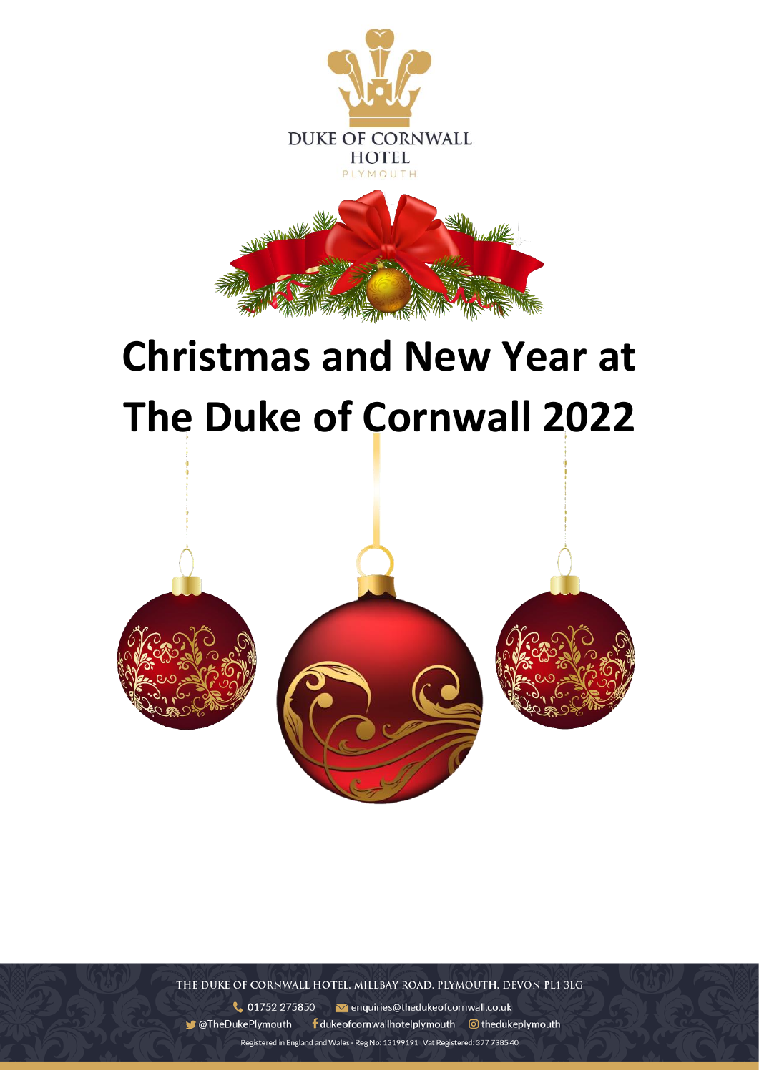

# **Christmas and New Year at The Duke of Cornwall 2022**



THE DUKE OF CORNWALL HOTEL, MILLBAY ROAD, PLYMOUTH, DEVON PL1 3LG

01752 275850 v enquiries@thedukeofcornwall.co.uk **C**TheDukePlymouth f dukeofcornwallhotelplymouth © thedukeplymouth Registered in England and Wales - Reg No: 13199191 Vat Registered: 377 7385 40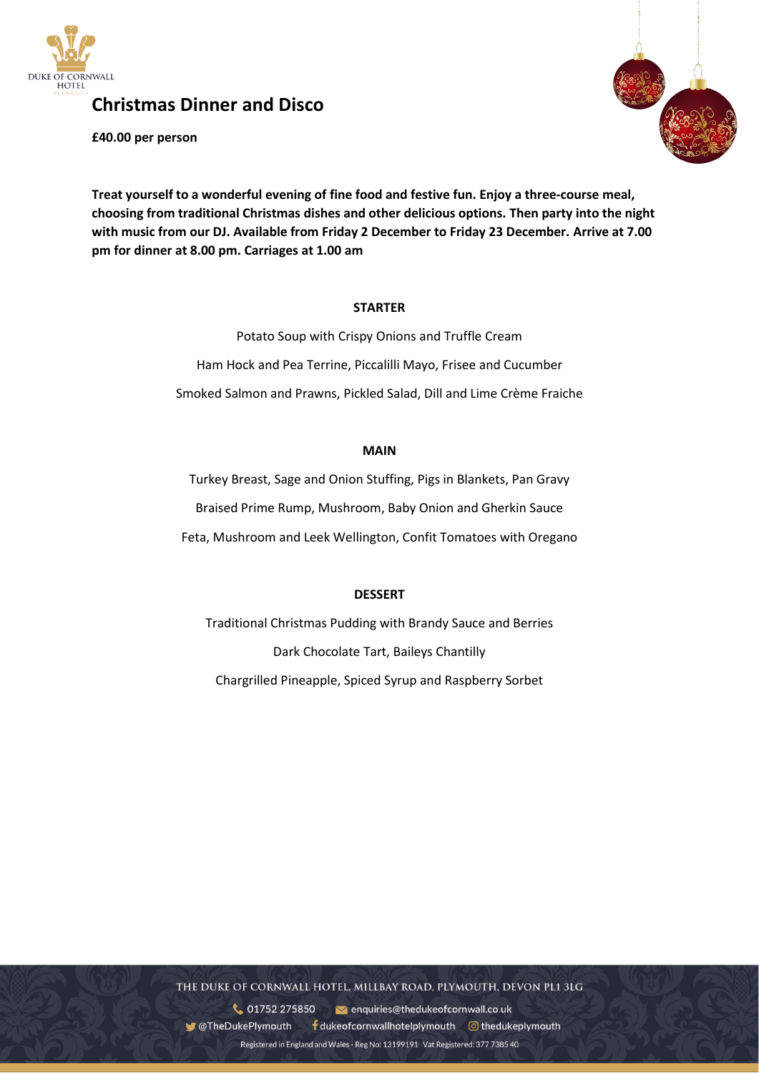

**Christmas Dinner and Disco**

**£40.00 per person**



**Treat yourself to a wonderful evening of fine food and festive fun. Enjoy a three-course meal, choosing from traditional Christmas dishes and other delicious options. Then party into the night with music from our DJ. Available from Friday 2 December to Friday 23 December. Arrive at 7.00 pm for dinner at 8.00 pm. Carriages at 1.00 am**

#### **STARTER**

Potato Soup with Crispy Onions and Truffle Cream Ham Hock and Pea Terrine, Piccalilli Mayo, Frisee and Cucumber Smoked Salmon and Prawns, Pickled Salad, Dill and Lime Crème Fraiche

# **MAIN**

Turkey Breast, Sage and Onion Stuffing, Pigs in Blankets, Pan Gravy Braised Prime Rump, Mushroom, Baby Onion and Gherkin Sauce Feta, Mushroom and Leek Wellington, Confit Tomatoes with Oregano

# **DESSERT**

Traditional Christmas Pudding with Brandy Sauce and Berries Dark Chocolate Tart, Baileys Chantilly Chargrilled Pineapple, Spiced Syrup and Raspberry Sorbet

THE DUKE OF CORNWALL HOTEL, MILLBAY ROAD, PLYMOUTH, DEVON PL1 3LG

01752 275850 venquiries@thedukeofcornwall.co.uk **C**TheDukePlymouth  $\frac{1}{2}$  duke of cornwall hotel plymouth  $\odot$  the duke plymouth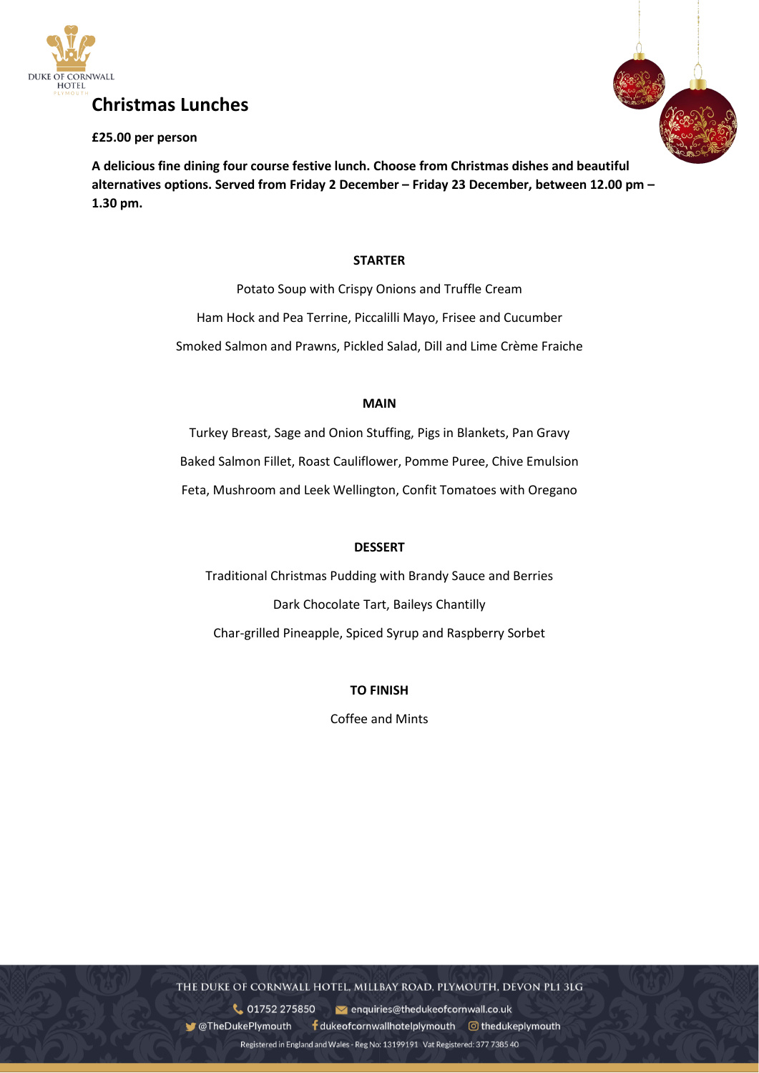

### **£25.00 per person**

**A delicious fine dining four course festive lunch. Choose from Christmas dishes and beautiful alternatives options. Served from Friday 2 December – Friday 23 December, between 12.00 pm – 1.30 pm.**

# **STARTER**

Potato Soup with Crispy Onions and Truffle Cream Ham Hock and Pea Terrine, Piccalilli Mayo, Frisee and Cucumber Smoked Salmon and Prawns, Pickled Salad, Dill and Lime Crème Fraiche

#### **MAIN**

Turkey Breast, Sage and Onion Stuffing, Pigs in Blankets, Pan Gravy Baked Salmon Fillet, Roast Cauliflower, Pomme Puree, Chive Emulsion Feta, Mushroom and Leek Wellington, Confit Tomatoes with Oregano

# **DESSERT**

Traditional Christmas Pudding with Brandy Sauce and Berries Dark Chocolate Tart, Baileys Chantilly Char-grilled Pineapple, Spiced Syrup and Raspberry Sorbet

# **TO FINISH**

Coffee and Mints

THE DUKE OF CORNWALL HOTEL, MILLBAY ROAD, PLYMOUTH, DEVON PL1 3LG

01752 275850 venquiries@thedukeofcornwall.co.uk **C**TheDukePlymouth  $\frac{1}{2}$  dukeof cornwall hotel plymouth  $\odot$  the dukeplymouth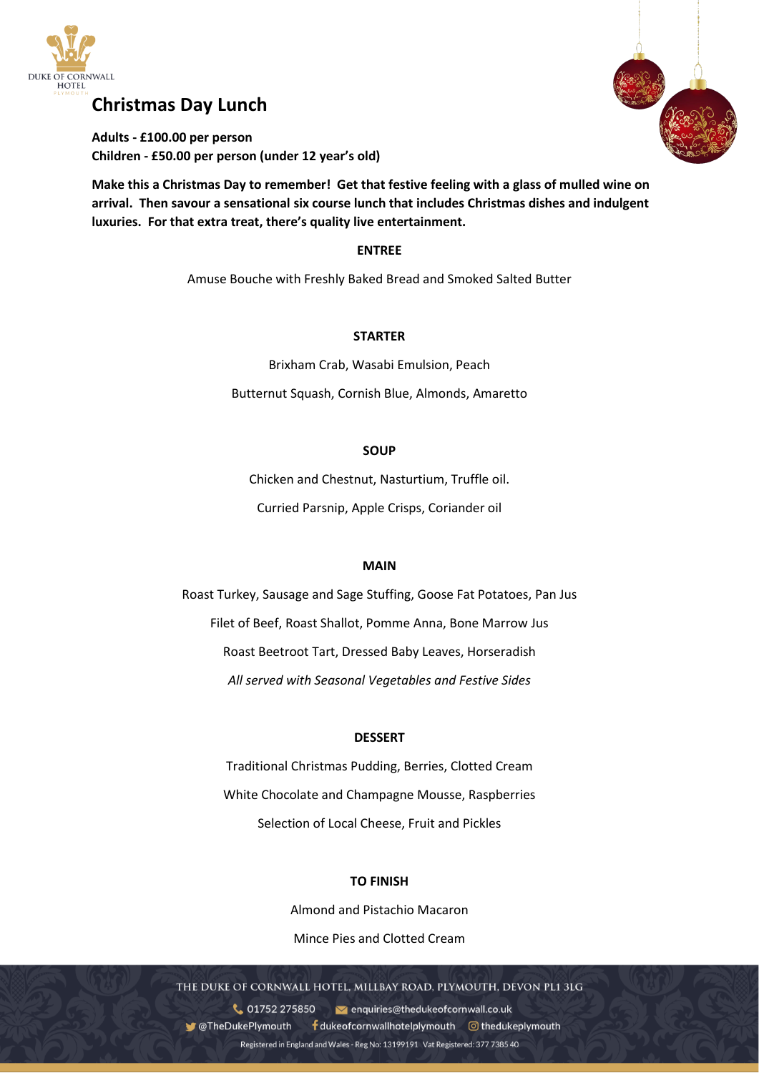

# **Christmas Day Lunch**

**Adults - £100.00 per person Children - £50.00 per person (under 12 year's old)**

**Make this a Christmas Day to remember! Get that festive feeling with a glass of mulled wine on arrival. Then savour a sensational six course lunch that includes Christmas dishes and indulgent luxuries. For that extra treat, there's quality live entertainment.**

#### **ENTREE**

Amuse Bouche with Freshly Baked Bread and Smoked Salted Butter

#### **STARTER**

Brixham Crab, Wasabi Emulsion, Peach Butternut Squash, Cornish Blue, Almonds, Amaretto

#### **SOUP**

Chicken and Chestnut, Nasturtium, Truffle oil. Curried Parsnip, Apple Crisps, Coriander oil

#### **MAIN**

Roast Turkey, Sausage and Sage Stuffing, Goose Fat Potatoes, Pan Jus Filet of Beef, Roast Shallot, Pomme Anna, Bone Marrow Jus Roast Beetroot Tart, Dressed Baby Leaves, Horseradish *All served with Seasonal Vegetables and Festive Sides*

#### **DESSERT**

Traditional Christmas Pudding, Berries, Clotted Cream White Chocolate and Champagne Mousse, Raspberries Selection of Local Cheese, Fruit and Pickles

#### **TO FINISH**

Almond and Pistachio Macaron Mince Pies and Clotted Cream

THE DUKE OF CORNWALL HOTEL, MILLBAY ROAD, PLYMOUTH, DEVON PL1 3LG

Registered in England and Wales - Reg No: 13199191 Vat Registered: 377 7385 40

01752 275850 venquiries@thedukeofcornwall.co.uk **C**TheDukePlymouth  $\frac{1}{2}$  dukeof cornwall hotel plymouth  $\odot$  the dukeplymouth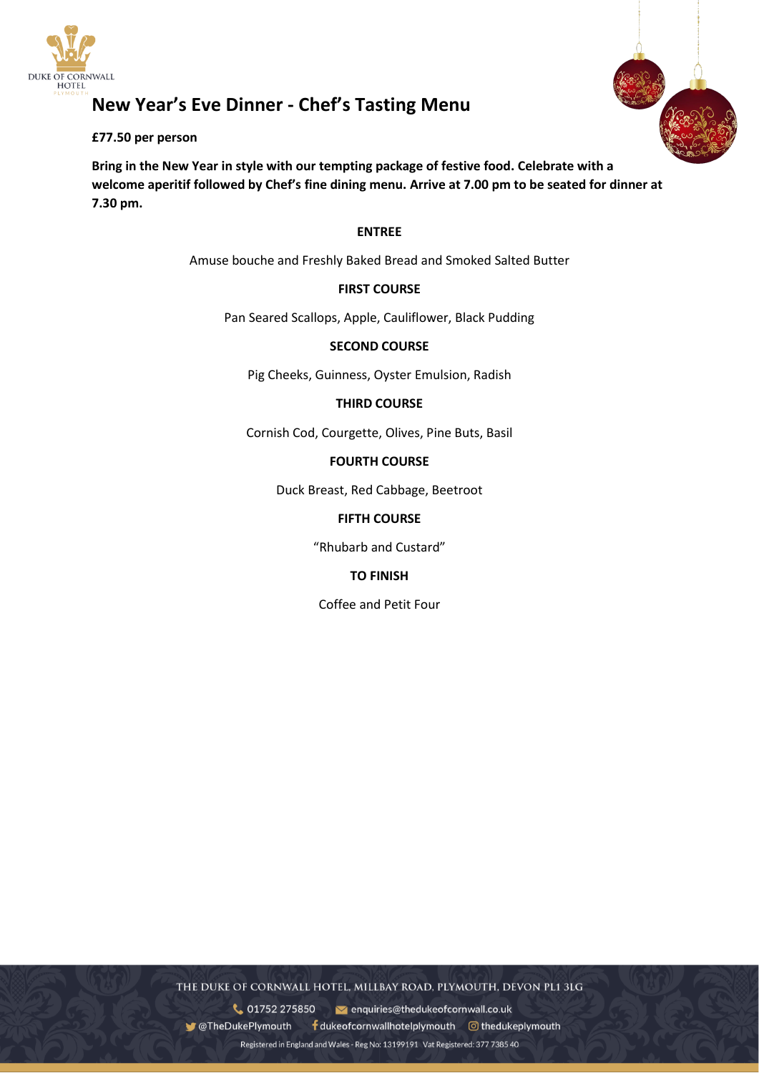

# **New Year's Eve Dinner - Chef's Tasting Menu**

#### **£77.50 per person**

**Bring in the New Year in style with our tempting package of festive food. Celebrate with a welcome aperitif followed by Chef's fine dining menu. Arrive at 7.00 pm to be seated for dinner at 7.30 pm.**

#### **ENTREE**

Amuse bouche and Freshly Baked Bread and Smoked Salted Butter

# **FIRST COURSE**

Pan Seared Scallops, Apple, Cauliflower, Black Pudding

#### **SECOND COURSE**

Pig Cheeks, Guinness, Oyster Emulsion, Radish

#### **THIRD COURSE**

Cornish Cod, Courgette, Olives, Pine Buts, Basil

#### **FOURTH COURSE**

Duck Breast, Red Cabbage, Beetroot

# **FIFTH COURSE**

"Rhubarb and Custard"

# **TO FINISH**

Coffee and Petit Four

THE DUKE OF CORNWALL HOTEL, MILLBAY ROAD, PLYMOUTH, DEVON PL1 3LG

v enquiries@thedukeofcornwall.co.uk 01752 275850 **C**TheDukePlymouth  $\frac{1}{2}$  duke of cornwall hotel plymouth  $\odot$  the duke plymouth

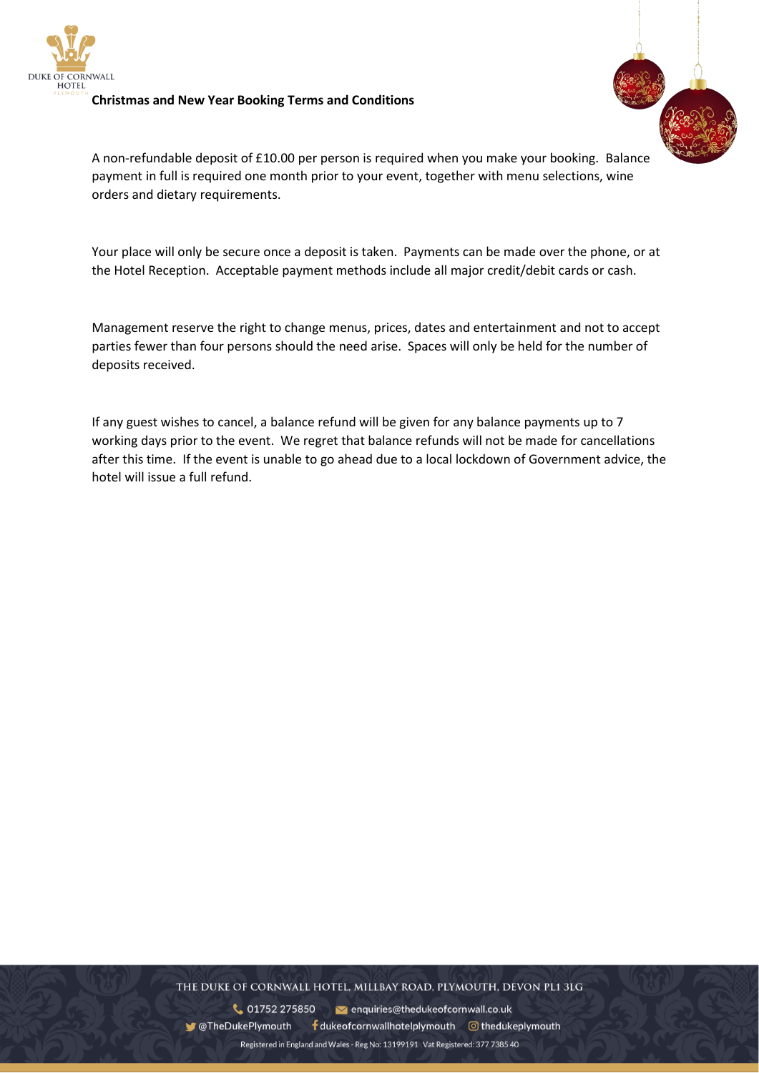

#### **Christmas and New Year Booking Terms and Conditions**



A non-refundable deposit of £10.00 per person is required when you make your booking. Balance payment in full is required one month prior to your event, together with menu selections, wine orders and dietary requirements.

Your place will only be secure once a deposit is taken. Payments can be made over the phone, or at the Hotel Reception. Acceptable payment methods include all major credit/debit cards or cash.

Management reserve the right to change menus, prices, dates and entertainment and not to accept parties fewer than four persons should the need arise. Spaces will only be held for the number of deposits received.

If any guest wishes to cancel, a balance refund will be given for any balance payments up to 7 working days prior to the event. We regret that balance refunds will not be made for cancellations after this time. If the event is unable to go ahead due to a local lockdown of Government advice, the hotel will issue a full refund.

THE DUKE OF CORNWALL HOTEL, MILLBAY ROAD, PLYMOUTH, DEVON PL1 3LG

01752 275850 venquiries@thedukeofcornwall.co.uk ● @TheDukePlymouth fdukeofcornwallhotelplymouth © thedukeplymouth